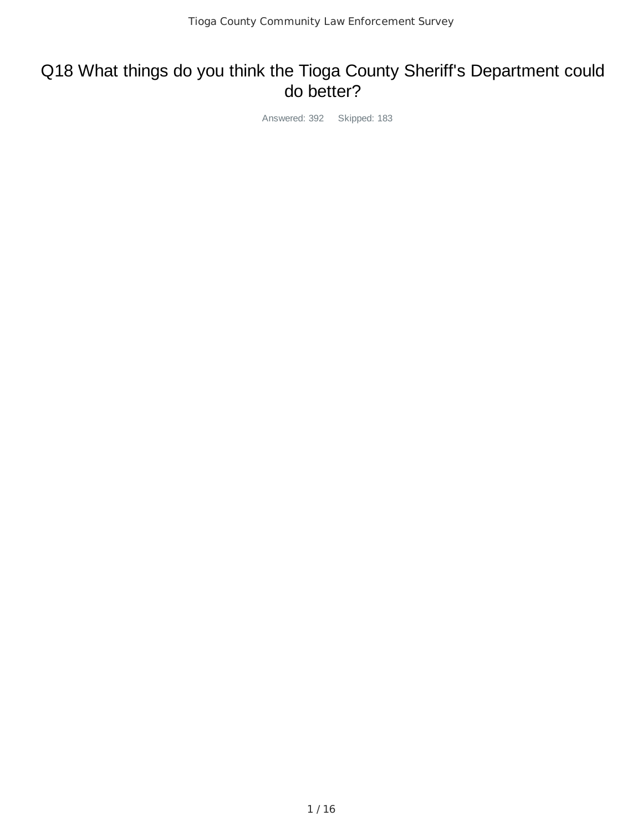# Q18 What things do you think the Tioga County Sheriff's Department could do better?

Answered: 392 Skipped: 183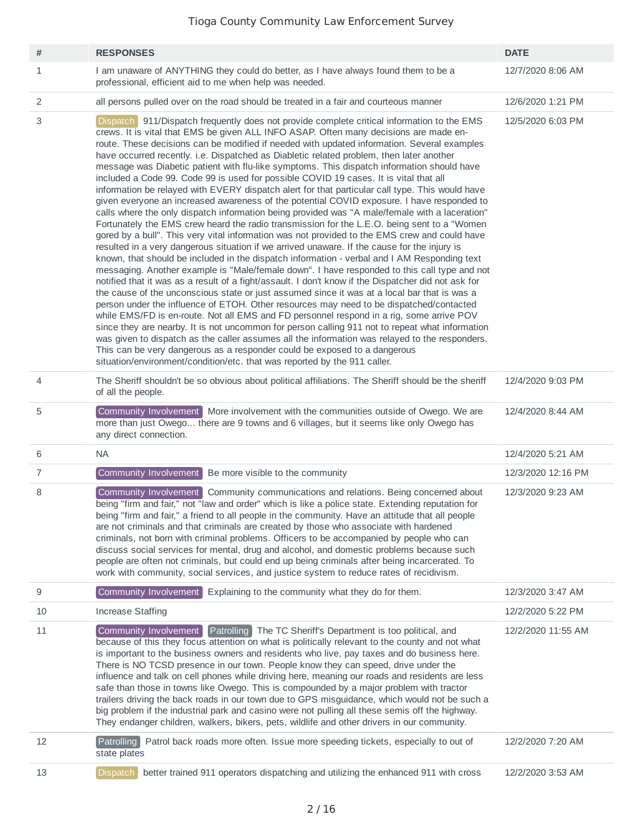| #              | <b>RESPONSES</b>                                                                                                                                                                                                                                                                                                                                                                                                                                                                                                                                                                                                                                                                                                                                                                                                                                                                                                                                                                                                                                                                                                                                                                                                                                                                                                                                                                                                                                                                                                                                                                                                                                                                                                                                                                                                                                                                                                                                                                                                                                                                                                                      | <b>DATE</b>        |
|----------------|---------------------------------------------------------------------------------------------------------------------------------------------------------------------------------------------------------------------------------------------------------------------------------------------------------------------------------------------------------------------------------------------------------------------------------------------------------------------------------------------------------------------------------------------------------------------------------------------------------------------------------------------------------------------------------------------------------------------------------------------------------------------------------------------------------------------------------------------------------------------------------------------------------------------------------------------------------------------------------------------------------------------------------------------------------------------------------------------------------------------------------------------------------------------------------------------------------------------------------------------------------------------------------------------------------------------------------------------------------------------------------------------------------------------------------------------------------------------------------------------------------------------------------------------------------------------------------------------------------------------------------------------------------------------------------------------------------------------------------------------------------------------------------------------------------------------------------------------------------------------------------------------------------------------------------------------------------------------------------------------------------------------------------------------------------------------------------------------------------------------------------------|--------------------|
| 1              | I am unaware of ANYTHING they could do better, as I have always found them to be a<br>professional, efficient aid to me when help was needed.                                                                                                                                                                                                                                                                                                                                                                                                                                                                                                                                                                                                                                                                                                                                                                                                                                                                                                                                                                                                                                                                                                                                                                                                                                                                                                                                                                                                                                                                                                                                                                                                                                                                                                                                                                                                                                                                                                                                                                                         | 12/7/2020 8:06 AM  |
| 2              | all persons pulled over on the road should be treated in a fair and courteous manner                                                                                                                                                                                                                                                                                                                                                                                                                                                                                                                                                                                                                                                                                                                                                                                                                                                                                                                                                                                                                                                                                                                                                                                                                                                                                                                                                                                                                                                                                                                                                                                                                                                                                                                                                                                                                                                                                                                                                                                                                                                  | 12/6/2020 1:21 PM  |
| 3              | Dispatch 911/Dispatch frequently does not provide complete critical information to the EMS<br>crews. It is vital that EMS be given ALL INFO ASAP. Often many decisions are made en-<br>route. These decisions can be modified if needed with updated information. Several examples<br>have occurred recently. i.e. Dispatched as Diabletic related problem, then later another<br>message was Diabetic patient with flu-like symptoms. This dispatch information should have<br>included a Code 99. Code 99 is used for possible COVID 19 cases. It is vital that all<br>information be relayed with EVERY dispatch alert for that particular call type. This would have<br>given everyone an increased awareness of the potential COVID exposure. I have responded to<br>calls where the only dispatch information being provided was "A male/female with a laceration"<br>Fortunately the EMS crew heard the radio transmission for the L.E.O. being sent to a "Women<br>gored by a bull". This very vital information was not provided to the EMS crew and could have<br>resulted in a very dangerous situation if we arrived unaware. If the cause for the injury is<br>known, that should be included in the dispatch information - verbal and I AM Responding text<br>messaging. Another example is "Male/female down". I have responded to this call type and not<br>notified that it was as a result of a fight/assault. I don't know if the Dispatcher did not ask for<br>the cause of the unconscious state or just assumed since it was at a local bar that is was a<br>person under the influence of ETOH. Other resources may need to be dispatched/contacted<br>while EMS/FD is en-route. Not all EMS and FD personnel respond in a rig, some arrive POV<br>since they are nearby. It is not uncommon for person calling 911 not to repeat what information<br>was given to dispatch as the caller assumes all the information was relayed to the responders.<br>This can be very dangerous as a responder could be exposed to a dangerous<br>situation/environment/condition/etc. that was reported by the 911 caller. | 12/5/2020 6:03 PM  |
| $\overline{4}$ | The Sheriff shouldn't be so obvious about political affiliations. The Sheriff should be the sheriff<br>of all the people.                                                                                                                                                                                                                                                                                                                                                                                                                                                                                                                                                                                                                                                                                                                                                                                                                                                                                                                                                                                                                                                                                                                                                                                                                                                                                                                                                                                                                                                                                                                                                                                                                                                                                                                                                                                                                                                                                                                                                                                                             | 12/4/2020 9:03 PM  |
| 5              | Community Involvement More involvement with the communities outside of Owego. We are<br>more than just Owego there are 9 towns and 6 villages, but it seems like only Owego has<br>any direct connection.                                                                                                                                                                                                                                                                                                                                                                                                                                                                                                                                                                                                                                                                                                                                                                                                                                                                                                                                                                                                                                                                                                                                                                                                                                                                                                                                                                                                                                                                                                                                                                                                                                                                                                                                                                                                                                                                                                                             | 12/4/2020 8:44 AM  |
| 6              | <b>NA</b>                                                                                                                                                                                                                                                                                                                                                                                                                                                                                                                                                                                                                                                                                                                                                                                                                                                                                                                                                                                                                                                                                                                                                                                                                                                                                                                                                                                                                                                                                                                                                                                                                                                                                                                                                                                                                                                                                                                                                                                                                                                                                                                             | 12/4/2020 5:21 AM  |
| $\overline{7}$ | Community Involvement<br>Be more visible to the community                                                                                                                                                                                                                                                                                                                                                                                                                                                                                                                                                                                                                                                                                                                                                                                                                                                                                                                                                                                                                                                                                                                                                                                                                                                                                                                                                                                                                                                                                                                                                                                                                                                                                                                                                                                                                                                                                                                                                                                                                                                                             | 12/3/2020 12:16 PM |
| 8              | Community Involvement<br>Community communications and relations. Being concerned about<br>being "firm and fair," not "law and order" which is like a police state. Extending reputation for<br>being "firm and fair," a friend to all people in the community. Have an attitude that all people<br>are not criminals and that criminals are created by those who associate with hardened<br>criminals, not born with criminal problems. Officers to be accompanied by people who can<br>discuss social services for mental, drug and alcohol, and domestic problems because such<br>people are often not criminals, but could end up being criminals after being incarcerated. To<br>work with community, social services, and justice system to reduce rates of recidivism.                                                                                                                                                                                                                                                                                                                                                                                                                                                                                                                                                                                                                                                                                                                                                                                                                                                                                                                                                                                                                                                                                                                                                                                                                                                                                                                                                          | 12/3/2020 9:23 AM  |
| 9              | Community Involvement<br>Explaining to the community what they do for them.                                                                                                                                                                                                                                                                                                                                                                                                                                                                                                                                                                                                                                                                                                                                                                                                                                                                                                                                                                                                                                                                                                                                                                                                                                                                                                                                                                                                                                                                                                                                                                                                                                                                                                                                                                                                                                                                                                                                                                                                                                                           | 12/3/2020 3:47 AM  |
| 10             | <b>Increase Staffing</b>                                                                                                                                                                                                                                                                                                                                                                                                                                                                                                                                                                                                                                                                                                                                                                                                                                                                                                                                                                                                                                                                                                                                                                                                                                                                                                                                                                                                                                                                                                                                                                                                                                                                                                                                                                                                                                                                                                                                                                                                                                                                                                              | 12/2/2020 5:22 PM  |
| 11             | Patrolling The TC Sheriff's Department is too political, and<br>Community Involvement<br>because of this they focus attention on what is politically relevant to the county and not what<br>is important to the business owners and residents who live, pay taxes and do business here.<br>There is NO TCSD presence in our town. People know they can speed, drive under the<br>influence and talk on cell phones while driving here, meaning our roads and residents are less<br>safe than those in towns like Owego. This is compounded by a major problem with tractor<br>trailers driving the back roads in our town due to GPS misguidance, which would not be such a<br>big problem if the industrial park and casino were not pulling all these semis off the highway.<br>They endanger children, walkers, bikers, pets, wildlife and other drivers in our community.                                                                                                                                                                                                                                                                                                                                                                                                                                                                                                                                                                                                                                                                                                                                                                                                                                                                                                                                                                                                                                                                                                                                                                                                                                                         | 12/2/2020 11:55 AM |
| 12             | Patrolling Patrol back roads more often. Issue more speeding tickets, especially to out of<br>state plates                                                                                                                                                                                                                                                                                                                                                                                                                                                                                                                                                                                                                                                                                                                                                                                                                                                                                                                                                                                                                                                                                                                                                                                                                                                                                                                                                                                                                                                                                                                                                                                                                                                                                                                                                                                                                                                                                                                                                                                                                            | 12/2/2020 7:20 AM  |
|                |                                                                                                                                                                                                                                                                                                                                                                                                                                                                                                                                                                                                                                                                                                                                                                                                                                                                                                                                                                                                                                                                                                                                                                                                                                                                                                                                                                                                                                                                                                                                                                                                                                                                                                                                                                                                                                                                                                                                                                                                                                                                                                                                       |                    |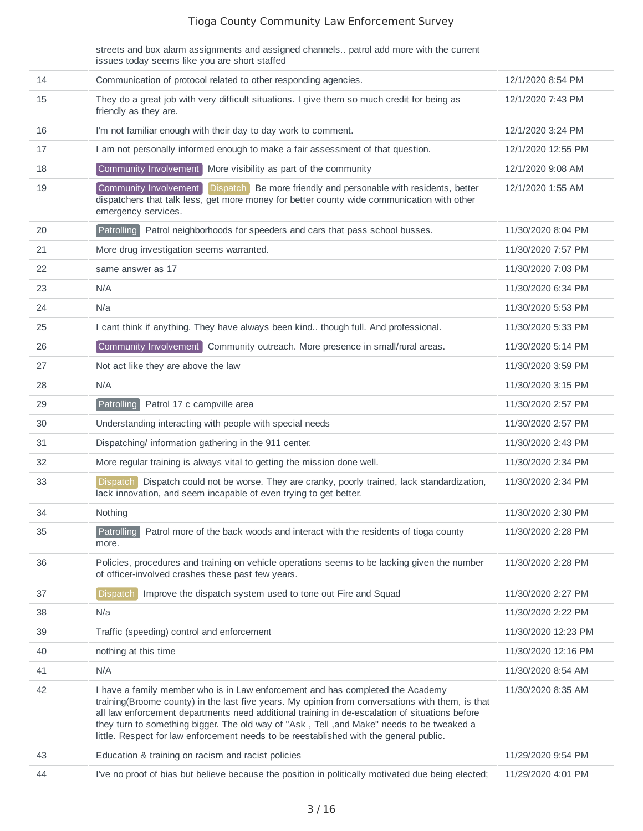streets and box alarm assignments and assigned channels.. patrol add more with the current issues today seems like you are short staffed

| 14 | Communication of protocol related to other responding agencies.                                                                                                                                                                                                                                                                                                                                                                                                             | 12/1/2020 8:54 PM   |
|----|-----------------------------------------------------------------------------------------------------------------------------------------------------------------------------------------------------------------------------------------------------------------------------------------------------------------------------------------------------------------------------------------------------------------------------------------------------------------------------|---------------------|
| 15 | They do a great job with very difficult situations. I give them so much credit for being as<br>friendly as they are.                                                                                                                                                                                                                                                                                                                                                        | 12/1/2020 7:43 PM   |
| 16 | I'm not familiar enough with their day to day work to comment.                                                                                                                                                                                                                                                                                                                                                                                                              | 12/1/2020 3:24 PM   |
| 17 | I am not personally informed enough to make a fair assessment of that question.                                                                                                                                                                                                                                                                                                                                                                                             | 12/1/2020 12:55 PM  |
| 18 | Community Involvement   More visibility as part of the community                                                                                                                                                                                                                                                                                                                                                                                                            | 12/1/2020 9:08 AM   |
| 19 | Community Involvement<br><b>Dispatch</b><br>Be more friendly and personable with residents, better<br>dispatchers that talk less, get more money for better county wide communication with other<br>emergency services.                                                                                                                                                                                                                                                     | 12/1/2020 1:55 AM   |
| 20 | Patrolling Patrol neighborhoods for speeders and cars that pass school busses.                                                                                                                                                                                                                                                                                                                                                                                              | 11/30/2020 8:04 PM  |
| 21 | More drug investigation seems warranted.                                                                                                                                                                                                                                                                                                                                                                                                                                    | 11/30/2020 7:57 PM  |
| 22 | same answer as 17                                                                                                                                                                                                                                                                                                                                                                                                                                                           | 11/30/2020 7:03 PM  |
| 23 | N/A                                                                                                                                                                                                                                                                                                                                                                                                                                                                         | 11/30/2020 6:34 PM  |
| 24 | N/a                                                                                                                                                                                                                                                                                                                                                                                                                                                                         | 11/30/2020 5:53 PM  |
| 25 | I cant think if anything. They have always been kind though full. And professional.                                                                                                                                                                                                                                                                                                                                                                                         | 11/30/2020 5:33 PM  |
| 26 | Community Involvement Community outreach. More presence in small/rural areas.                                                                                                                                                                                                                                                                                                                                                                                               | 11/30/2020 5:14 PM  |
| 27 | Not act like they are above the law                                                                                                                                                                                                                                                                                                                                                                                                                                         | 11/30/2020 3:59 PM  |
| 28 | N/A                                                                                                                                                                                                                                                                                                                                                                                                                                                                         | 11/30/2020 3:15 PM  |
| 29 | <b>Patrolling</b><br>Patrol 17 c campville area                                                                                                                                                                                                                                                                                                                                                                                                                             | 11/30/2020 2:57 PM  |
| 30 | Understanding interacting with people with special needs                                                                                                                                                                                                                                                                                                                                                                                                                    | 11/30/2020 2:57 PM  |
| 31 | Dispatching/ information gathering in the 911 center.                                                                                                                                                                                                                                                                                                                                                                                                                       | 11/30/2020 2:43 PM  |
| 32 | More regular training is always vital to getting the mission done well.                                                                                                                                                                                                                                                                                                                                                                                                     | 11/30/2020 2:34 PM  |
| 33 | <b>Dispatch</b><br>Dispatch could not be worse. They are cranky, poorly trained, lack standardization,<br>lack innovation, and seem incapable of even trying to get better.                                                                                                                                                                                                                                                                                                 | 11/30/2020 2:34 PM  |
| 34 | Nothing                                                                                                                                                                                                                                                                                                                                                                                                                                                                     | 11/30/2020 2:30 PM  |
| 35 | Patrolling<br>Patrol more of the back woods and interact with the residents of tioga county<br>more.                                                                                                                                                                                                                                                                                                                                                                        | 11/30/2020 2:28 PM  |
| 36 | Policies, procedures and training on vehicle operations seems to be lacking given the number<br>of officer-involved crashes these past few years.                                                                                                                                                                                                                                                                                                                           | 11/30/2020 2:28 PM  |
| 37 | Dispatch<br>Improve the dispatch system used to tone out Fire and Squad                                                                                                                                                                                                                                                                                                                                                                                                     | 11/30/2020 2:27 PM  |
| 38 | N/a                                                                                                                                                                                                                                                                                                                                                                                                                                                                         | 11/30/2020 2:22 PM  |
| 39 | Traffic (speeding) control and enforcement                                                                                                                                                                                                                                                                                                                                                                                                                                  | 11/30/2020 12:23 PM |
| 40 | nothing at this time                                                                                                                                                                                                                                                                                                                                                                                                                                                        | 11/30/2020 12:16 PM |
| 41 | N/A                                                                                                                                                                                                                                                                                                                                                                                                                                                                         | 11/30/2020 8:54 AM  |
| 42 | I have a family member who is in Law enforcement and has completed the Academy<br>training(Broome county) in the last five years. My opinion from conversations with them, is that<br>all law enforcement departments need additional training in de-escalation of situations before<br>they turn to something bigger. The old way of "Ask, Tell, and Make" needs to be tweaked a<br>little. Respect for law enforcement needs to be reestablished with the general public. | 11/30/2020 8:35 AM  |
| 43 | Education & training on racism and racist policies                                                                                                                                                                                                                                                                                                                                                                                                                          | 11/29/2020 9:54 PM  |
| 44 | I've no proof of bias but believe because the position in politically motivated due being elected;                                                                                                                                                                                                                                                                                                                                                                          | 11/29/2020 4:01 PM  |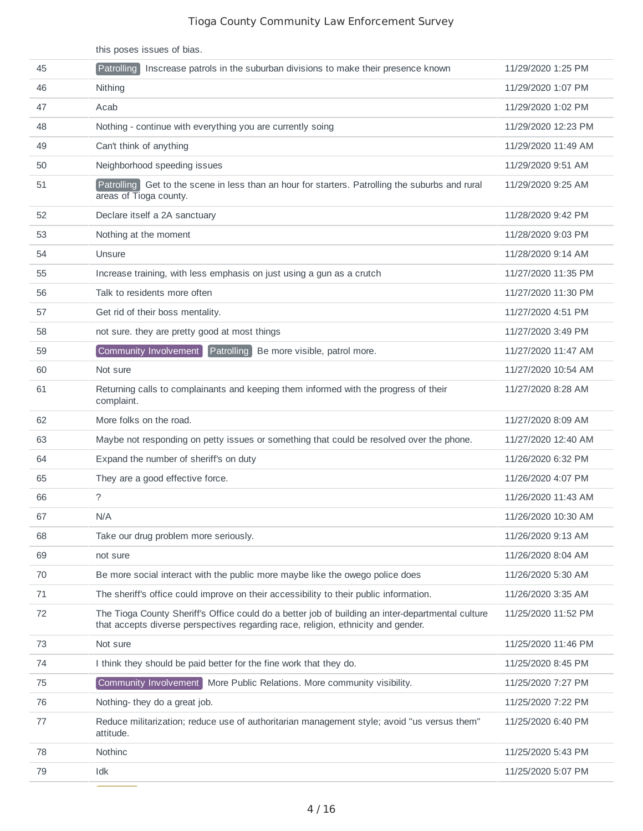|    | this poses issues of bias.                                                                                                                                                             |                     |
|----|----------------------------------------------------------------------------------------------------------------------------------------------------------------------------------------|---------------------|
| 45 | Patrolling<br>Inscrease patrols in the suburban divisions to make their presence known                                                                                                 | 11/29/2020 1:25 PM  |
| 46 | Nithing                                                                                                                                                                                | 11/29/2020 1:07 PM  |
| 47 | Acab                                                                                                                                                                                   | 11/29/2020 1:02 PM  |
| 48 | Nothing - continue with everything you are currently soing                                                                                                                             | 11/29/2020 12:23 PM |
| 49 | Can't think of anything                                                                                                                                                                | 11/29/2020 11:49 AM |
| 50 | Neighborhood speeding issues                                                                                                                                                           | 11/29/2020 9:51 AM  |
| 51 | Patrolling Get to the scene in less than an hour for starters. Patrolling the suburbs and rural<br>areas of Tioga county.                                                              | 11/29/2020 9:25 AM  |
| 52 | Declare itself a 2A sanctuary                                                                                                                                                          | 11/28/2020 9:42 PM  |
| 53 | Nothing at the moment                                                                                                                                                                  | 11/28/2020 9:03 PM  |
| 54 | Unsure                                                                                                                                                                                 | 11/28/2020 9:14 AM  |
| 55 | Increase training, with less emphasis on just using a gun as a crutch                                                                                                                  | 11/27/2020 11:35 PM |
| 56 | Talk to residents more often                                                                                                                                                           | 11/27/2020 11:30 PM |
| 57 | Get rid of their boss mentality.                                                                                                                                                       | 11/27/2020 4:51 PM  |
| 58 | not sure. they are pretty good at most things                                                                                                                                          | 11/27/2020 3:49 PM  |
| 59 | Community Involvement<br>Patrolling Be more visible, patrol more.                                                                                                                      | 11/27/2020 11:47 AM |
| 60 | Not sure                                                                                                                                                                               | 11/27/2020 10:54 AM |
| 61 | Returning calls to complainants and keeping them informed with the progress of their<br>complaint.                                                                                     | 11/27/2020 8:28 AM  |
| 62 | More folks on the road.                                                                                                                                                                | 11/27/2020 8:09 AM  |
| 63 | Maybe not responding on petty issues or something that could be resolved over the phone.                                                                                               | 11/27/2020 12:40 AM |
| 64 | Expand the number of sheriff's on duty                                                                                                                                                 | 11/26/2020 6:32 PM  |
| 65 | They are a good effective force.                                                                                                                                                       | 11/26/2020 4:07 PM  |
| 66 | $\tilde{?}$                                                                                                                                                                            | 11/26/2020 11:43 AM |
| 67 | N/A                                                                                                                                                                                    | 11/26/2020 10:30 AM |
| 68 | Take our drug problem more seriously.                                                                                                                                                  | 11/26/2020 9:13 AM  |
| 69 | not sure                                                                                                                                                                               | 11/26/2020 8:04 AM  |
| 70 | Be more social interact with the public more maybe like the owego police does                                                                                                          | 11/26/2020 5:30 AM  |
| 71 | The sheriff's office could improve on their accessibility to their public information.                                                                                                 | 11/26/2020 3:35 AM  |
| 72 | The Tioga County Sheriff's Office could do a better job of building an inter-departmental culture<br>that accepts diverse perspectives regarding race, religion, ethnicity and gender. | 11/25/2020 11:52 PM |
| 73 | Not sure                                                                                                                                                                               | 11/25/2020 11:46 PM |
| 74 | I think they should be paid better for the fine work that they do.                                                                                                                     | 11/25/2020 8:45 PM  |
| 75 | Community Involvement   More Public Relations. More community visibility.                                                                                                              | 11/25/2020 7:27 PM  |
| 76 | Nothing-they do a great job.                                                                                                                                                           | 11/25/2020 7:22 PM  |
| 77 | Reduce militarization; reduce use of authoritarian management style; avoid "us versus them"<br>attitude.                                                                               | 11/25/2020 6:40 PM  |
| 78 | Nothinc                                                                                                                                                                                | 11/25/2020 5:43 PM  |
| 79 | Idk                                                                                                                                                                                    | 11/25/2020 5:07 PM  |

<u> De Carlos de Ca</u>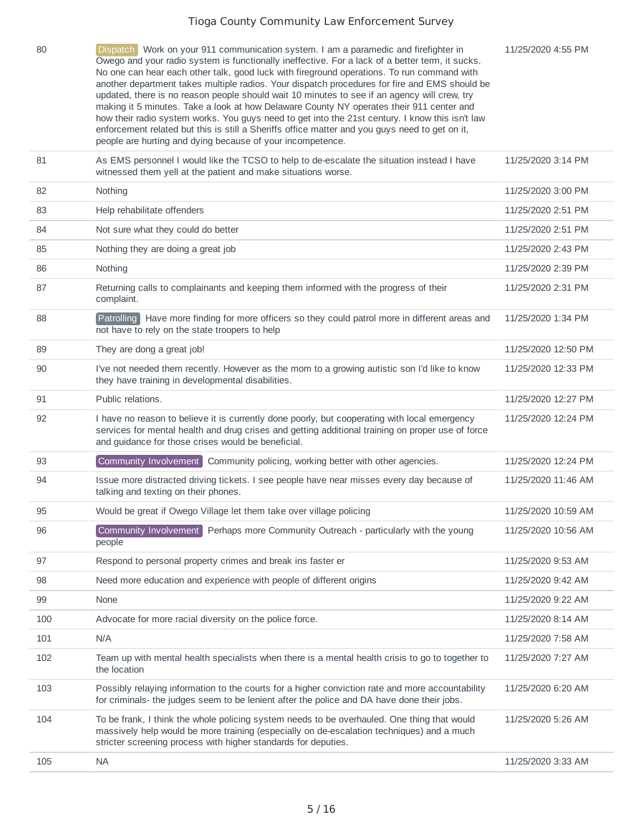| 80  | Dispatch Work on your 911 communication system. I am a paramedic and firefighter in<br>Owego and your radio system is functionally ineffective. For a lack of a better term, it sucks.<br>No one can hear each other talk, good luck with fireground operations. To run command with<br>another department takes multiple radios. Your dispatch procedures for fire and EMS should be<br>updated, there is no reason people should wait 10 minutes to see if an agency will crew, try<br>making it 5 minutes. Take a look at how Delaware County NY operates their 911 center and<br>how their radio system works. You guys need to get into the 21st century. I know this isn't law<br>enforcement related but this is still a Sheriffs office matter and you guys need to get on it,<br>people are hurting and dying because of your incompetence. | 11/25/2020 4:55 PM  |
|-----|------------------------------------------------------------------------------------------------------------------------------------------------------------------------------------------------------------------------------------------------------------------------------------------------------------------------------------------------------------------------------------------------------------------------------------------------------------------------------------------------------------------------------------------------------------------------------------------------------------------------------------------------------------------------------------------------------------------------------------------------------------------------------------------------------------------------------------------------------|---------------------|
| 81  | As EMS personnel I would like the TCSO to help to de-escalate the situation instead I have<br>witnessed them yell at the patient and make situations worse.                                                                                                                                                                                                                                                                                                                                                                                                                                                                                                                                                                                                                                                                                          | 11/25/2020 3:14 PM  |
| 82  | Nothing                                                                                                                                                                                                                                                                                                                                                                                                                                                                                                                                                                                                                                                                                                                                                                                                                                              | 11/25/2020 3:00 PM  |
| 83  | Help rehabilitate offenders                                                                                                                                                                                                                                                                                                                                                                                                                                                                                                                                                                                                                                                                                                                                                                                                                          | 11/25/2020 2:51 PM  |
| 84  | Not sure what they could do better                                                                                                                                                                                                                                                                                                                                                                                                                                                                                                                                                                                                                                                                                                                                                                                                                   | 11/25/2020 2:51 PM  |
| 85  | Nothing they are doing a great job                                                                                                                                                                                                                                                                                                                                                                                                                                                                                                                                                                                                                                                                                                                                                                                                                   | 11/25/2020 2:43 PM  |
| 86  | Nothing                                                                                                                                                                                                                                                                                                                                                                                                                                                                                                                                                                                                                                                                                                                                                                                                                                              | 11/25/2020 2:39 PM  |
| 87  | Returning calls to complainants and keeping them informed with the progress of their<br>complaint.                                                                                                                                                                                                                                                                                                                                                                                                                                                                                                                                                                                                                                                                                                                                                   | 11/25/2020 2:31 PM  |
| 88  | Patrolling Have more finding for more officers so they could patrol more in different areas and<br>not have to rely on the state troopers to help                                                                                                                                                                                                                                                                                                                                                                                                                                                                                                                                                                                                                                                                                                    | 11/25/2020 1:34 PM  |
| 89  | They are dong a great job!                                                                                                                                                                                                                                                                                                                                                                                                                                                                                                                                                                                                                                                                                                                                                                                                                           | 11/25/2020 12:50 PM |
| 90  | I've not needed them recently. However as the mom to a growing autistic son I'd like to know<br>they have training in developmental disabilities.                                                                                                                                                                                                                                                                                                                                                                                                                                                                                                                                                                                                                                                                                                    | 11/25/2020 12:33 PM |
| 91  | Public relations.                                                                                                                                                                                                                                                                                                                                                                                                                                                                                                                                                                                                                                                                                                                                                                                                                                    | 11/25/2020 12:27 PM |
| 92  | I have no reason to believe it is currently done poorly, but cooperating with local emergency<br>services for mental health and drug crises and getting additional training on proper use of force<br>and guidance for those crises would be beneficial.                                                                                                                                                                                                                                                                                                                                                                                                                                                                                                                                                                                             | 11/25/2020 12:24 PM |
| 93  | Community Involvement Community policing, working better with other agencies.                                                                                                                                                                                                                                                                                                                                                                                                                                                                                                                                                                                                                                                                                                                                                                        | 11/25/2020 12:24 PM |
| 94  | Issue more distracted driving tickets. I see people have near misses every day because of<br>talking and texting on their phones.                                                                                                                                                                                                                                                                                                                                                                                                                                                                                                                                                                                                                                                                                                                    | 11/25/2020 11:46 AM |
| 95  | Would be great if Owego Village let them take over village policing                                                                                                                                                                                                                                                                                                                                                                                                                                                                                                                                                                                                                                                                                                                                                                                  | 11/25/2020 10:59 AM |
| 96  | Community Involvement<br>Perhaps more Community Outreach - particularly with the young<br>people                                                                                                                                                                                                                                                                                                                                                                                                                                                                                                                                                                                                                                                                                                                                                     | 11/25/2020 10:56 AM |
| 97  | Respond to personal property crimes and break ins faster er                                                                                                                                                                                                                                                                                                                                                                                                                                                                                                                                                                                                                                                                                                                                                                                          | 11/25/2020 9:53 AM  |
| 98  | Need more education and experience with people of different origins                                                                                                                                                                                                                                                                                                                                                                                                                                                                                                                                                                                                                                                                                                                                                                                  | 11/25/2020 9:42 AM  |
| 99  | None                                                                                                                                                                                                                                                                                                                                                                                                                                                                                                                                                                                                                                                                                                                                                                                                                                                 | 11/25/2020 9:22 AM  |
| 100 | Advocate for more racial diversity on the police force.                                                                                                                                                                                                                                                                                                                                                                                                                                                                                                                                                                                                                                                                                                                                                                                              | 11/25/2020 8:14 AM  |
| 101 | N/A                                                                                                                                                                                                                                                                                                                                                                                                                                                                                                                                                                                                                                                                                                                                                                                                                                                  | 11/25/2020 7:58 AM  |
| 102 | Team up with mental health specialists when there is a mental health crisis to go to together to<br>the location                                                                                                                                                                                                                                                                                                                                                                                                                                                                                                                                                                                                                                                                                                                                     | 11/25/2020 7:27 AM  |
| 103 | Possibly relaying information to the courts for a higher conviction rate and more accountability<br>for criminals- the judges seem to be lenient after the police and DA have done their jobs.                                                                                                                                                                                                                                                                                                                                                                                                                                                                                                                                                                                                                                                       | 11/25/2020 6:20 AM  |
| 104 | To be frank, I think the whole policing system needs to be overhauled. One thing that would<br>massively help would be more training (especially on de-escalation techniques) and a much<br>stricter screening process with higher standards for deputies.                                                                                                                                                                                                                                                                                                                                                                                                                                                                                                                                                                                           | 11/25/2020 5:26 AM  |
| 105 | <b>NA</b>                                                                                                                                                                                                                                                                                                                                                                                                                                                                                                                                                                                                                                                                                                                                                                                                                                            | 11/25/2020 3:33 AM  |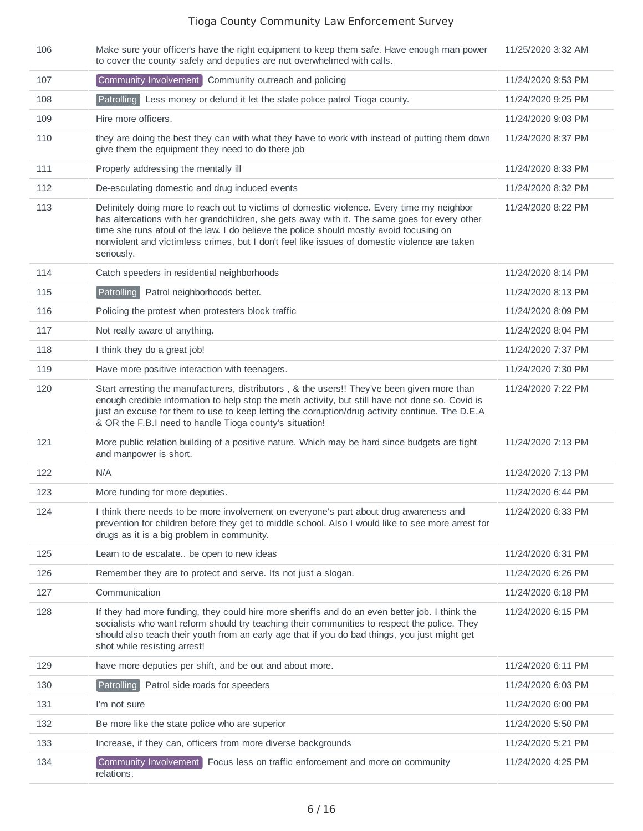| 106 | Make sure your officer's have the right equipment to keep them safe. Have enough man power<br>to cover the county safely and deputies are not overwhelmed with calls.                                                                                                                                                                                                                                 | 11/25/2020 3:32 AM |
|-----|-------------------------------------------------------------------------------------------------------------------------------------------------------------------------------------------------------------------------------------------------------------------------------------------------------------------------------------------------------------------------------------------------------|--------------------|
| 107 | Community Involvement Community outreach and policing                                                                                                                                                                                                                                                                                                                                                 | 11/24/2020 9:53 PM |
| 108 | Patrolling<br>Less money or defund it let the state police patrol Tioga county.                                                                                                                                                                                                                                                                                                                       | 11/24/2020 9:25 PM |
| 109 | Hire more officers.                                                                                                                                                                                                                                                                                                                                                                                   | 11/24/2020 9:03 PM |
| 110 | they are doing the best they can with what they have to work with instead of putting them down<br>give them the equipment they need to do there job                                                                                                                                                                                                                                                   | 11/24/2020 8:37 PM |
| 111 | Properly addressing the mentally ill                                                                                                                                                                                                                                                                                                                                                                  | 11/24/2020 8:33 PM |
| 112 | De-esculating domestic and drug induced events                                                                                                                                                                                                                                                                                                                                                        | 11/24/2020 8:32 PM |
| 113 | Definitely doing more to reach out to victims of domestic violence. Every time my neighbor<br>has altercations with her grandchildren, she gets away with it. The same goes for every other<br>time she runs afoul of the law. I do believe the police should mostly avoid focusing on<br>nonviolent and victimless crimes, but I don't feel like issues of domestic violence are taken<br>seriously. | 11/24/2020 8:22 PM |
| 114 | Catch speeders in residential neighborhoods                                                                                                                                                                                                                                                                                                                                                           | 11/24/2020 8:14 PM |
| 115 | Patrolling Patrol neighborhoods better.                                                                                                                                                                                                                                                                                                                                                               | 11/24/2020 8:13 PM |
| 116 | Policing the protest when protesters block traffic                                                                                                                                                                                                                                                                                                                                                    | 11/24/2020 8:09 PM |
| 117 | Not really aware of anything.                                                                                                                                                                                                                                                                                                                                                                         | 11/24/2020 8:04 PM |
| 118 | I think they do a great job!                                                                                                                                                                                                                                                                                                                                                                          | 11/24/2020 7:37 PM |
| 119 | Have more positive interaction with teenagers.                                                                                                                                                                                                                                                                                                                                                        | 11/24/2020 7:30 PM |
| 120 | Start arresting the manufacturers, distributors, & the users!! They've been given more than<br>enough credible information to help stop the meth activity, but still have not done so. Covid is<br>just an excuse for them to use to keep letting the corruption/drug activity continue. The D.E.A<br>& OR the F.B.I need to handle Tioga county's situation!                                         | 11/24/2020 7:22 PM |
| 121 | More public relation building of a positive nature. Which may be hard since budgets are tight<br>and manpower is short.                                                                                                                                                                                                                                                                               | 11/24/2020 7:13 PM |
| 122 | N/A                                                                                                                                                                                                                                                                                                                                                                                                   | 11/24/2020 7:13 PM |
| 123 | More funding for more deputies.                                                                                                                                                                                                                                                                                                                                                                       | 11/24/2020 6:44 PM |
| 124 | I think there needs to be more involvement on everyone's part about drug awareness and<br>prevention for children before they get to middle school. Also I would like to see more arrest for<br>drugs as it is a big problem in community.                                                                                                                                                            | 11/24/2020 6:33 PM |
| 125 | Learn to de escalate be open to new ideas                                                                                                                                                                                                                                                                                                                                                             | 11/24/2020 6:31 PM |
| 126 | Remember they are to protect and serve. Its not just a slogan.                                                                                                                                                                                                                                                                                                                                        | 11/24/2020 6:26 PM |
| 127 | Communication                                                                                                                                                                                                                                                                                                                                                                                         | 11/24/2020 6:18 PM |
| 128 | If they had more funding, they could hire more sheriffs and do an even better job. I think the<br>socialists who want reform should try teaching their communities to respect the police. They<br>should also teach their youth from an early age that if you do bad things, you just might get<br>shot while resisting arrest!                                                                       | 11/24/2020 6:15 PM |
| 129 | have more deputies per shift, and be out and about more.                                                                                                                                                                                                                                                                                                                                              | 11/24/2020 6:11 PM |
| 130 | Patrol side roads for speeders<br>Patrolling                                                                                                                                                                                                                                                                                                                                                          | 11/24/2020 6:03 PM |
| 131 | I'm not sure                                                                                                                                                                                                                                                                                                                                                                                          | 11/24/2020 6:00 PM |
| 132 | Be more like the state police who are superior                                                                                                                                                                                                                                                                                                                                                        | 11/24/2020 5:50 PM |
| 133 | Increase, if they can, officers from more diverse backgrounds                                                                                                                                                                                                                                                                                                                                         | 11/24/2020 5:21 PM |
| 134 | Community Involvement Focus less on traffic enforcement and more on community<br>relations.                                                                                                                                                                                                                                                                                                           | 11/24/2020 4:25 PM |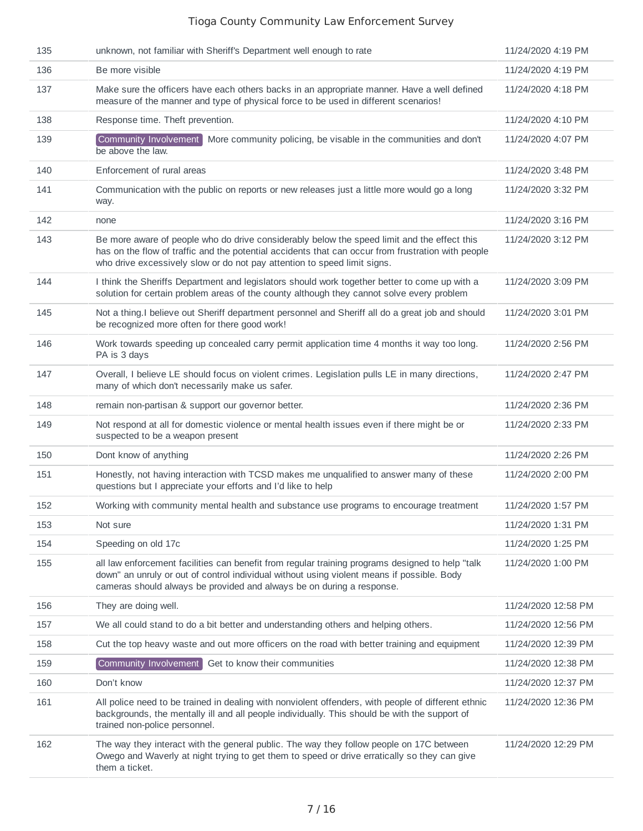| 135 | unknown, not familiar with Sheriff's Department well enough to rate                                                                                                                                                                                                           | 11/24/2020 4:19 PM  |
|-----|-------------------------------------------------------------------------------------------------------------------------------------------------------------------------------------------------------------------------------------------------------------------------------|---------------------|
| 136 | Be more visible                                                                                                                                                                                                                                                               | 11/24/2020 4:19 PM  |
| 137 | Make sure the officers have each others backs in an appropriate manner. Have a well defined<br>measure of the manner and type of physical force to be used in different scenarios!                                                                                            | 11/24/2020 4:18 PM  |
| 138 | Response time. Theft prevention.                                                                                                                                                                                                                                              | 11/24/2020 4:10 PM  |
| 139 | Community Involvement More community policing, be visable in the communities and don't<br>be above the law.                                                                                                                                                                   | 11/24/2020 4:07 PM  |
| 140 | Enforcement of rural areas                                                                                                                                                                                                                                                    | 11/24/2020 3:48 PM  |
| 141 | Communication with the public on reports or new releases just a little more would go a long<br>way.                                                                                                                                                                           | 11/24/2020 3:32 PM  |
| 142 | none                                                                                                                                                                                                                                                                          | 11/24/2020 3:16 PM  |
| 143 | Be more aware of people who do drive considerably below the speed limit and the effect this<br>has on the flow of traffic and the potential accidents that can occur from frustration with people<br>who drive excessively slow or do not pay attention to speed limit signs. | 11/24/2020 3:12 PM  |
| 144 | I think the Sheriffs Department and legislators should work together better to come up with a<br>solution for certain problem areas of the county although they cannot solve every problem                                                                                    | 11/24/2020 3:09 PM  |
| 145 | Not a thing. I believe out Sheriff department personnel and Sheriff all do a great job and should<br>be recognized more often for there good work!                                                                                                                            | 11/24/2020 3:01 PM  |
| 146 | Work towards speeding up concealed carry permit application time 4 months it way too long.<br>PA is 3 days                                                                                                                                                                    | 11/24/2020 2:56 PM  |
| 147 | Overall, I believe LE should focus on violent crimes. Legislation pulls LE in many directions,<br>many of which don't necessarily make us safer.                                                                                                                              | 11/24/2020 2:47 PM  |
| 148 | remain non-partisan & support our governor better.                                                                                                                                                                                                                            | 11/24/2020 2:36 PM  |
| 149 | Not respond at all for domestic violence or mental health issues even if there might be or<br>suspected to be a weapon present                                                                                                                                                | 11/24/2020 2:33 PM  |
| 150 | Dont know of anything                                                                                                                                                                                                                                                         | 11/24/2020 2:26 PM  |
| 151 | Honestly, not having interaction with TCSD makes me unqualified to answer many of these<br>questions but I appreciate your efforts and I'd like to help                                                                                                                       | 11/24/2020 2:00 PM  |
| 152 | Working with community mental health and substance use programs to encourage treatment                                                                                                                                                                                        | 11/24/2020 1:57 PM  |
| 153 | Not sure                                                                                                                                                                                                                                                                      | 11/24/2020 1:31 PM  |
| 154 | Speeding on old 17c                                                                                                                                                                                                                                                           | 11/24/2020 1:25 PM  |
| 155 | all law enforcement facilities can benefit from regular training programs designed to help "talk<br>down" an unruly or out of control individual without using violent means if possible. Body<br>cameras should always be provided and always be on during a response.       | 11/24/2020 1:00 PM  |
| 156 | They are doing well.                                                                                                                                                                                                                                                          | 11/24/2020 12:58 PM |
| 157 | We all could stand to do a bit better and understanding others and helping others.                                                                                                                                                                                            | 11/24/2020 12:56 PM |
| 158 | Cut the top heavy waste and out more officers on the road with better training and equipment                                                                                                                                                                                  | 11/24/2020 12:39 PM |
| 159 | Community Involvement<br>Get to know their communities                                                                                                                                                                                                                        | 11/24/2020 12:38 PM |
| 160 | Don't know                                                                                                                                                                                                                                                                    | 11/24/2020 12:37 PM |
| 161 | All police need to be trained in dealing with nonviolent offenders, with people of different ethnic<br>backgrounds, the mentally ill and all people individually. This should be with the support of<br>trained non-police personnel.                                         | 11/24/2020 12:36 PM |
| 162 | The way they interact with the general public. The way they follow people on 17C between<br>Owego and Waverly at night trying to get them to speed or drive erratically so they can give<br>them a ticket.                                                                    | 11/24/2020 12:29 PM |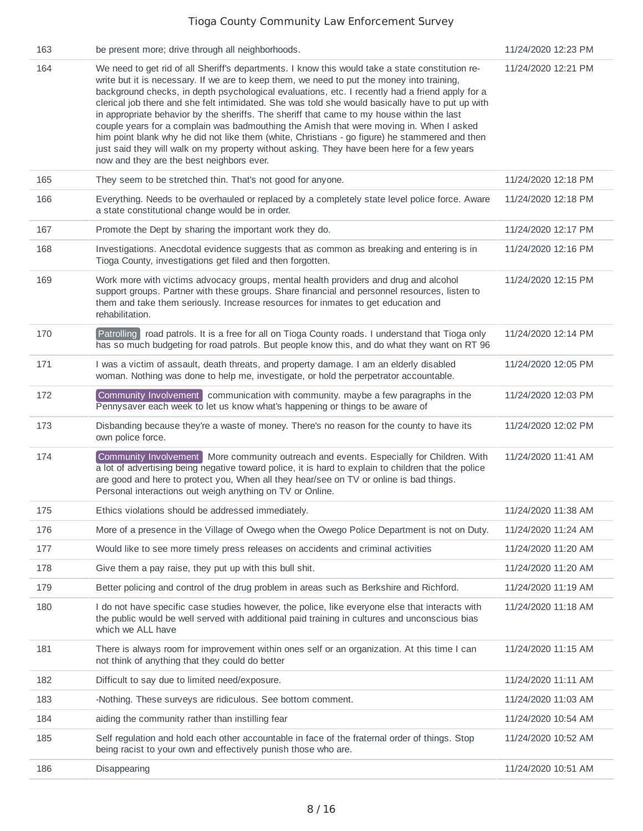| 163 | be present more; drive through all neighborhoods.                                                                                                                                                                                                                                                                                                                                                                                                                                                                                                                                                                                                                                                                                                                                                                                             | 11/24/2020 12:23 PM |
|-----|-----------------------------------------------------------------------------------------------------------------------------------------------------------------------------------------------------------------------------------------------------------------------------------------------------------------------------------------------------------------------------------------------------------------------------------------------------------------------------------------------------------------------------------------------------------------------------------------------------------------------------------------------------------------------------------------------------------------------------------------------------------------------------------------------------------------------------------------------|---------------------|
| 164 | We need to get rid of all Sheriff's departments. I know this would take a state constitution re-<br>write but it is necessary. If we are to keep them, we need to put the money into training,<br>background checks, in depth psychological evaluations, etc. I recently had a friend apply for a<br>clerical job there and she felt intimidated. She was told she would basically have to put up with<br>in appropriate behavior by the sheriffs. The sheriff that came to my house within the last<br>couple years for a complain was badmouthing the Amish that were moving in. When I asked<br>him point blank why he did not like them (white, Christians - go figure) he stammered and then<br>just said they will walk on my property without asking. They have been here for a few years<br>now and they are the best neighbors ever. | 11/24/2020 12:21 PM |
| 165 | They seem to be stretched thin. That's not good for anyone.                                                                                                                                                                                                                                                                                                                                                                                                                                                                                                                                                                                                                                                                                                                                                                                   | 11/24/2020 12:18 PM |
| 166 | Everything. Needs to be overhauled or replaced by a completely state level police force. Aware<br>a state constitutional change would be in order.                                                                                                                                                                                                                                                                                                                                                                                                                                                                                                                                                                                                                                                                                            | 11/24/2020 12:18 PM |
| 167 | Promote the Dept by sharing the important work they do.                                                                                                                                                                                                                                                                                                                                                                                                                                                                                                                                                                                                                                                                                                                                                                                       | 11/24/2020 12:17 PM |
| 168 | Investigations. Anecdotal evidence suggests that as common as breaking and entering is in<br>Tioga County, investigations get filed and then forgotten.                                                                                                                                                                                                                                                                                                                                                                                                                                                                                                                                                                                                                                                                                       | 11/24/2020 12:16 PM |
| 169 | Work more with victims advocacy groups, mental health providers and drug and alcohol<br>support groups. Partner with these groups. Share financial and personnel resources, listen to<br>them and take them seriously. Increase resources for inmates to get education and<br>rehabilitation.                                                                                                                                                                                                                                                                                                                                                                                                                                                                                                                                                 | 11/24/2020 12:15 PM |
| 170 | Patrolling road patrols. It is a free for all on Tioga County roads. I understand that Tioga only<br>has so much budgeting for road patrols. But people know this, and do what they want on RT 96                                                                                                                                                                                                                                                                                                                                                                                                                                                                                                                                                                                                                                             | 11/24/2020 12:14 PM |
| 171 | I was a victim of assault, death threats, and property damage. I am an elderly disabled<br>woman. Nothing was done to help me, investigate, or hold the perpetrator accountable.                                                                                                                                                                                                                                                                                                                                                                                                                                                                                                                                                                                                                                                              | 11/24/2020 12:05 PM |
| 172 | Community Involvement communication with community. maybe a few paragraphs in the<br>Pennysaver each week to let us know what's happening or things to be aware of                                                                                                                                                                                                                                                                                                                                                                                                                                                                                                                                                                                                                                                                            | 11/24/2020 12:03 PM |
| 173 | Disbanding because they're a waste of money. There's no reason for the county to have its<br>own police force.                                                                                                                                                                                                                                                                                                                                                                                                                                                                                                                                                                                                                                                                                                                                | 11/24/2020 12:02 PM |
| 174 | Community Involvement More community outreach and events. Especially for Children. With<br>a lot of advertising being negative toward police, it is hard to explain to children that the police<br>are good and here to protect you, When all they hear/see on TV or online is bad things.<br>Personal interactions out weigh anything on TV or Online.                                                                                                                                                                                                                                                                                                                                                                                                                                                                                       | 11/24/2020 11:41 AM |
| 175 | Ethics violations should be addressed immediately.                                                                                                                                                                                                                                                                                                                                                                                                                                                                                                                                                                                                                                                                                                                                                                                            | 11/24/2020 11:38 AM |
| 176 | More of a presence in the Village of Owego when the Owego Police Department is not on Duty.                                                                                                                                                                                                                                                                                                                                                                                                                                                                                                                                                                                                                                                                                                                                                   | 11/24/2020 11:24 AM |
| 177 | Would like to see more timely press releases on accidents and criminal activities                                                                                                                                                                                                                                                                                                                                                                                                                                                                                                                                                                                                                                                                                                                                                             | 11/24/2020 11:20 AM |
| 178 | Give them a pay raise, they put up with this bull shit.                                                                                                                                                                                                                                                                                                                                                                                                                                                                                                                                                                                                                                                                                                                                                                                       | 11/24/2020 11:20 AM |
| 179 | Better policing and control of the drug problem in areas such as Berkshire and Richford.                                                                                                                                                                                                                                                                                                                                                                                                                                                                                                                                                                                                                                                                                                                                                      | 11/24/2020 11:19 AM |
| 180 | I do not have specific case studies however, the police, like everyone else that interacts with<br>the public would be well served with additional paid training in cultures and unconscious bias<br>which we ALL have                                                                                                                                                                                                                                                                                                                                                                                                                                                                                                                                                                                                                        | 11/24/2020 11:18 AM |
| 181 | There is always room for improvement within ones self or an organization. At this time I can<br>not think of anything that they could do better                                                                                                                                                                                                                                                                                                                                                                                                                                                                                                                                                                                                                                                                                               | 11/24/2020 11:15 AM |
| 182 | Difficult to say due to limited need/exposure.                                                                                                                                                                                                                                                                                                                                                                                                                                                                                                                                                                                                                                                                                                                                                                                                | 11/24/2020 11:11 AM |
| 183 | -Nothing. These surveys are ridiculous. See bottom comment.                                                                                                                                                                                                                                                                                                                                                                                                                                                                                                                                                                                                                                                                                                                                                                                   | 11/24/2020 11:03 AM |
| 184 | aiding the community rather than instilling fear                                                                                                                                                                                                                                                                                                                                                                                                                                                                                                                                                                                                                                                                                                                                                                                              | 11/24/2020 10:54 AM |
| 185 | Self regulation and hold each other accountable in face of the fraternal order of things. Stop<br>being racist to your own and effectively punish those who are.                                                                                                                                                                                                                                                                                                                                                                                                                                                                                                                                                                                                                                                                              | 11/24/2020 10:52 AM |
| 186 | Disappearing                                                                                                                                                                                                                                                                                                                                                                                                                                                                                                                                                                                                                                                                                                                                                                                                                                  | 11/24/2020 10:51 AM |
|     |                                                                                                                                                                                                                                                                                                                                                                                                                                                                                                                                                                                                                                                                                                                                                                                                                                               |                     |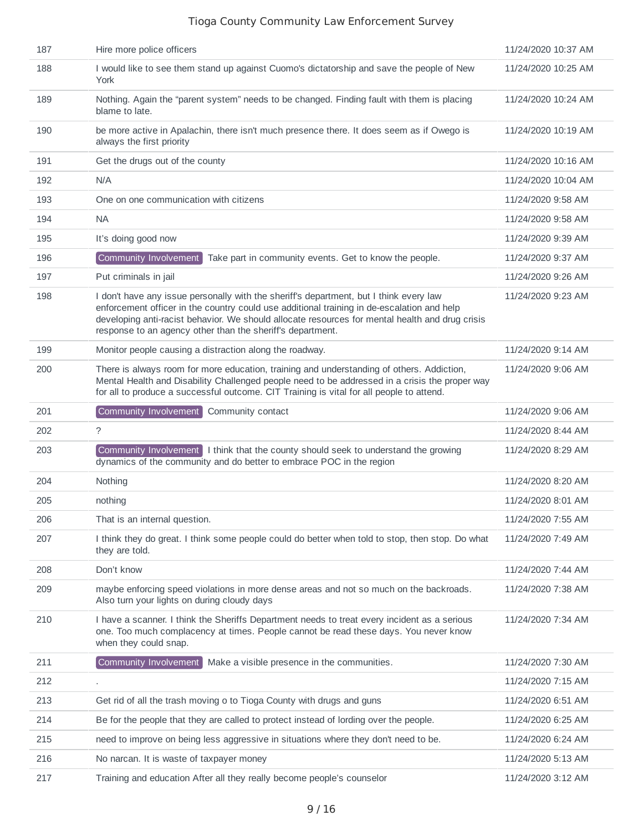| 187 | Hire more police officers                                                                                                                                                                                                                                                                                                                             | 11/24/2020 10:37 AM |
|-----|-------------------------------------------------------------------------------------------------------------------------------------------------------------------------------------------------------------------------------------------------------------------------------------------------------------------------------------------------------|---------------------|
| 188 | I would like to see them stand up against Cuomo's dictatorship and save the people of New<br>York                                                                                                                                                                                                                                                     | 11/24/2020 10:25 AM |
| 189 | Nothing. Again the "parent system" needs to be changed. Finding fault with them is placing<br>blame to late.                                                                                                                                                                                                                                          | 11/24/2020 10:24 AM |
| 190 | be more active in Apalachin, there isn't much presence there. It does seem as if Owego is<br>always the first priority                                                                                                                                                                                                                                | 11/24/2020 10:19 AM |
| 191 | Get the drugs out of the county                                                                                                                                                                                                                                                                                                                       | 11/24/2020 10:16 AM |
| 192 | N/A                                                                                                                                                                                                                                                                                                                                                   | 11/24/2020 10:04 AM |
| 193 | One on one communication with citizens                                                                                                                                                                                                                                                                                                                | 11/24/2020 9:58 AM  |
| 194 | <b>NA</b>                                                                                                                                                                                                                                                                                                                                             | 11/24/2020 9:58 AM  |
| 195 | It's doing good now                                                                                                                                                                                                                                                                                                                                   | 11/24/2020 9:39 AM  |
| 196 | Community Involvement<br>Take part in community events. Get to know the people.                                                                                                                                                                                                                                                                       | 11/24/2020 9:37 AM  |
| 197 | Put criminals in jail                                                                                                                                                                                                                                                                                                                                 | 11/24/2020 9:26 AM  |
| 198 | I don't have any issue personally with the sheriff's department, but I think every law<br>enforcement officer in the country could use additional training in de-escalation and help<br>developing anti-racist behavior. We should allocate resources for mental health and drug crisis<br>response to an agency other than the sheriff's department. | 11/24/2020 9:23 AM  |
| 199 | Monitor people causing a distraction along the roadway.                                                                                                                                                                                                                                                                                               | 11/24/2020 9:14 AM  |
| 200 | There is always room for more education, training and understanding of others. Addiction,<br>Mental Health and Disability Challenged people need to be addressed in a crisis the proper way<br>for all to produce a successful outcome. CIT Training is vital for all people to attend.                                                               | 11/24/2020 9:06 AM  |
| 201 | Community Involvement<br>Community contact                                                                                                                                                                                                                                                                                                            | 11/24/2020 9:06 AM  |
| 202 | $\tilde{?}$                                                                                                                                                                                                                                                                                                                                           | 11/24/2020 8:44 AM  |
| 203 | Community Involvement   I think that the county should seek to understand the growing<br>dynamics of the community and do better to embrace POC in the region                                                                                                                                                                                         | 11/24/2020 8:29 AM  |
| 204 | Nothing                                                                                                                                                                                                                                                                                                                                               | 11/24/2020 8:20 AM  |
| 205 | nothing                                                                                                                                                                                                                                                                                                                                               | 11/24/2020 8:01 AM  |
| 206 | That is an internal question.                                                                                                                                                                                                                                                                                                                         | 11/24/2020 7:55 AM  |
| 207 | I think they do great. I think some people could do better when told to stop, then stop. Do what<br>they are told.                                                                                                                                                                                                                                    | 11/24/2020 7:49 AM  |
| 208 | Don't know                                                                                                                                                                                                                                                                                                                                            | 11/24/2020 7:44 AM  |
| 209 | maybe enforcing speed violations in more dense areas and not so much on the backroads.<br>Also turn your lights on during cloudy days                                                                                                                                                                                                                 | 11/24/2020 7:38 AM  |
| 210 | I have a scanner. I think the Sheriffs Department needs to treat every incident as a serious<br>one. Too much complacency at times. People cannot be read these days. You never know<br>when they could snap.                                                                                                                                         | 11/24/2020 7:34 AM  |
| 211 | Community Involvement<br>Make a visible presence in the communities.                                                                                                                                                                                                                                                                                  | 11/24/2020 7:30 AM  |
| 212 |                                                                                                                                                                                                                                                                                                                                                       | 11/24/2020 7:15 AM  |
| 213 | Get rid of all the trash moving o to Tioga County with drugs and guns                                                                                                                                                                                                                                                                                 | 11/24/2020 6:51 AM  |
| 214 | Be for the people that they are called to protect instead of lording over the people.                                                                                                                                                                                                                                                                 | 11/24/2020 6:25 AM  |
| 215 | need to improve on being less aggressive in situations where they don't need to be.                                                                                                                                                                                                                                                                   | 11/24/2020 6:24 AM  |
| 216 | No narcan. It is waste of taxpayer money                                                                                                                                                                                                                                                                                                              | 11/24/2020 5:13 AM  |
| 217 | Training and education After all they really become people's counselor                                                                                                                                                                                                                                                                                | 11/24/2020 3:12 AM  |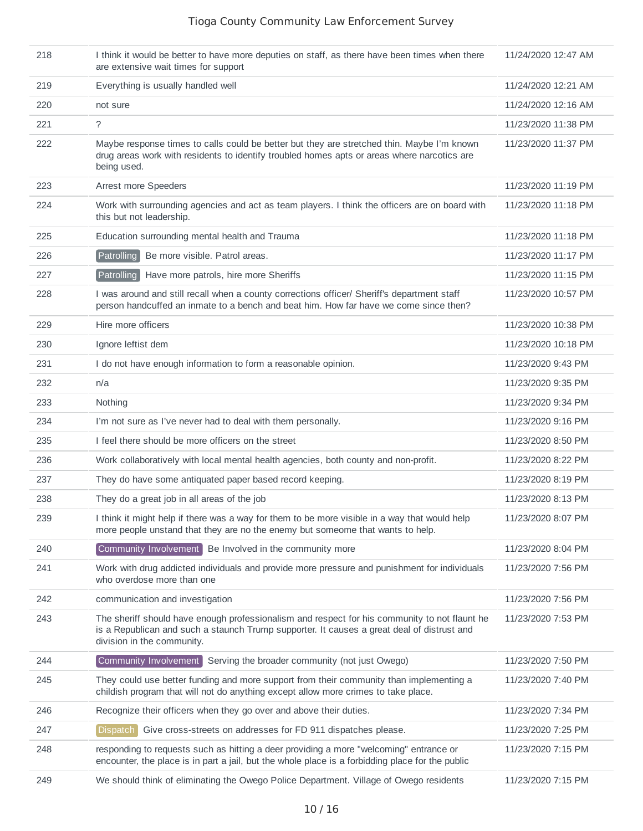| 218 | I think it would be better to have more deputies on staff, as there have been times when there<br>are extensive wait times for support                                                                                    | 11/24/2020 12:47 AM |
|-----|---------------------------------------------------------------------------------------------------------------------------------------------------------------------------------------------------------------------------|---------------------|
| 219 | Everything is usually handled well                                                                                                                                                                                        | 11/24/2020 12:21 AM |
| 220 | not sure                                                                                                                                                                                                                  | 11/24/2020 12:16 AM |
| 221 | ?                                                                                                                                                                                                                         | 11/23/2020 11:38 PM |
| 222 | Maybe response times to calls could be better but they are stretched thin. Maybe I'm known<br>drug areas work with residents to identify troubled homes apts or areas where narcotics are<br>being used.                  | 11/23/2020 11:37 PM |
| 223 | Arrest more Speeders                                                                                                                                                                                                      | 11/23/2020 11:19 PM |
| 224 | Work with surrounding agencies and act as team players. I think the officers are on board with<br>this but not leadership.                                                                                                | 11/23/2020 11:18 PM |
| 225 | Education surrounding mental health and Trauma                                                                                                                                                                            | 11/23/2020 11:18 PM |
| 226 | Patrolling<br>Be more visible. Patrol areas.                                                                                                                                                                              | 11/23/2020 11:17 PM |
| 227 | Patrolling<br>Have more patrols, hire more Sheriffs                                                                                                                                                                       | 11/23/2020 11:15 PM |
| 228 | I was around and still recall when a county corrections officer/ Sheriff's department staff<br>person handcuffed an inmate to a bench and beat him. How far have we come since then?                                      | 11/23/2020 10:57 PM |
| 229 | Hire more officers                                                                                                                                                                                                        | 11/23/2020 10:38 PM |
| 230 | Ignore leftist dem                                                                                                                                                                                                        | 11/23/2020 10:18 PM |
| 231 | I do not have enough information to form a reasonable opinion.                                                                                                                                                            | 11/23/2020 9:43 PM  |
| 232 | n/a                                                                                                                                                                                                                       | 11/23/2020 9:35 PM  |
| 233 | Nothing                                                                                                                                                                                                                   | 11/23/2020 9:34 PM  |
| 234 | I'm not sure as I've never had to deal with them personally.                                                                                                                                                              | 11/23/2020 9:16 PM  |
| 235 | I feel there should be more officers on the street                                                                                                                                                                        | 11/23/2020 8:50 PM  |
| 236 | Work collaboratively with local mental health agencies, both county and non-profit.                                                                                                                                       | 11/23/2020 8:22 PM  |
| 237 | They do have some antiquated paper based record keeping.                                                                                                                                                                  | 11/23/2020 8:19 PM  |
| 238 | They do a great job in all areas of the job                                                                                                                                                                               | 11/23/2020 8:13 PM  |
| 239 | I think it might help if there was a way for them to be more visible in a way that would help<br>more people unstand that they are no the enemy but someome that wants to help.                                           | 11/23/2020 8:07 PM  |
| 240 | Community Involvement Be Involved in the community more                                                                                                                                                                   | 11/23/2020 8:04 PM  |
| 241 | Work with drug addicted individuals and provide more pressure and punishment for individuals<br>who overdose more than one                                                                                                | 11/23/2020 7:56 PM  |
| 242 | communication and investigation                                                                                                                                                                                           | 11/23/2020 7:56 PM  |
| 243 | The sheriff should have enough professionalism and respect for his community to not flaunt he<br>is a Republican and such a staunch Trump supporter. It causes a great deal of distrust and<br>division in the community. | 11/23/2020 7:53 PM  |
| 244 | Community Involvement<br>Serving the broader community (not just Owego)                                                                                                                                                   | 11/23/2020 7:50 PM  |
| 245 | They could use better funding and more support from their community than implementing a<br>childish program that will not do anything except allow more crimes to take place.                                             | 11/23/2020 7:40 PM  |
| 246 | Recognize their officers when they go over and above their duties.                                                                                                                                                        | 11/23/2020 7:34 PM  |
| 247 | Dispatch<br>Give cross-streets on addresses for FD 911 dispatches please.                                                                                                                                                 | 11/23/2020 7:25 PM  |
| 248 | responding to requests such as hitting a deer providing a more "welcoming" entrance or<br>encounter, the place is in part a jail, but the whole place is a forbidding place for the public                                | 11/23/2020 7:15 PM  |
| 249 | We should think of eliminating the Owego Police Department. Village of Owego residents                                                                                                                                    | 11/23/2020 7:15 PM  |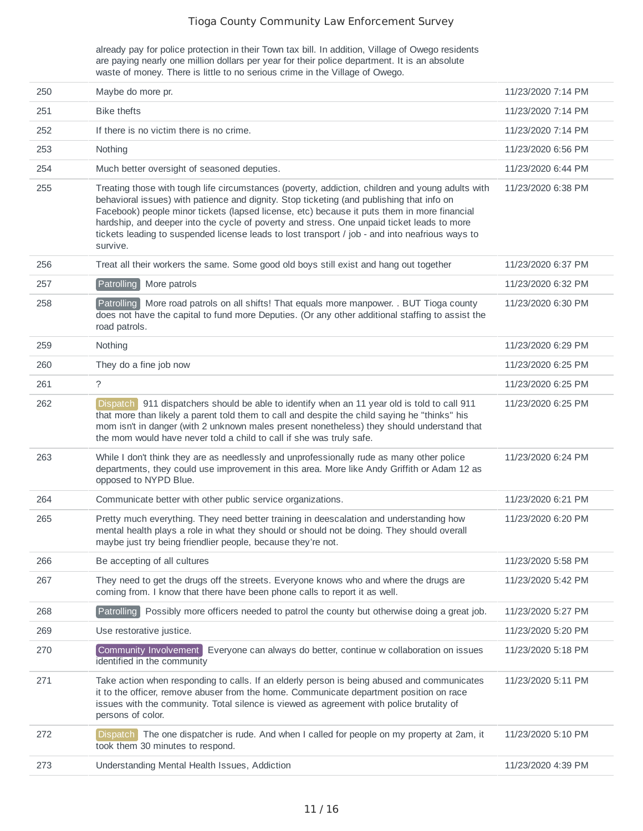already pay for police protection in their Town tax bill. In addition, Village of Owego residents are paying nearly one million dollars per year for their police department. It is an absolute waste of money. There is little to no serious crime in the Village of Owego.

| 250 | Maybe do more pr.                                                                                                                                                                                                                                                                                                                                                                                                                                                                                         | 11/23/2020 7:14 PM |
|-----|-----------------------------------------------------------------------------------------------------------------------------------------------------------------------------------------------------------------------------------------------------------------------------------------------------------------------------------------------------------------------------------------------------------------------------------------------------------------------------------------------------------|--------------------|
| 251 | <b>Bike thefts</b>                                                                                                                                                                                                                                                                                                                                                                                                                                                                                        | 11/23/2020 7:14 PM |
|     |                                                                                                                                                                                                                                                                                                                                                                                                                                                                                                           |                    |
| 252 | If there is no victim there is no crime.                                                                                                                                                                                                                                                                                                                                                                                                                                                                  | 11/23/2020 7:14 PM |
| 253 | Nothing                                                                                                                                                                                                                                                                                                                                                                                                                                                                                                   | 11/23/2020 6:56 PM |
| 254 | Much better oversight of seasoned deputies.                                                                                                                                                                                                                                                                                                                                                                                                                                                               | 11/23/2020 6:44 PM |
| 255 | Treating those with tough life circumstances (poverty, addiction, children and young adults with<br>behavioral issues) with patience and dignity. Stop ticketing (and publishing that info on<br>Facebook) people minor tickets (lapsed license, etc) because it puts them in more financial<br>hardship, and deeper into the cycle of poverty and stress. One unpaid ticket leads to more<br>tickets leading to suspended license leads to lost transport / job - and into neafrious ways to<br>survive. | 11/23/2020 6:38 PM |
| 256 | Treat all their workers the same. Some good old boys still exist and hang out together                                                                                                                                                                                                                                                                                                                                                                                                                    | 11/23/2020 6:37 PM |
| 257 | Patrolling<br>More patrols                                                                                                                                                                                                                                                                                                                                                                                                                                                                                | 11/23/2020 6:32 PM |
| 258 | More road patrols on all shifts! That equals more manpower. . BUT Tioga county<br>Patrolling<br>does not have the capital to fund more Deputies. (Or any other additional staffing to assist the<br>road patrols.                                                                                                                                                                                                                                                                                         | 11/23/2020 6:30 PM |
| 259 | Nothing                                                                                                                                                                                                                                                                                                                                                                                                                                                                                                   | 11/23/2020 6:29 PM |
| 260 | They do a fine job now                                                                                                                                                                                                                                                                                                                                                                                                                                                                                    | 11/23/2020 6:25 PM |
| 261 | ?                                                                                                                                                                                                                                                                                                                                                                                                                                                                                                         | 11/23/2020 6:25 PM |
| 262 | Dispatch 911 dispatchers should be able to identify when an 11 year old is told to call 911<br>that more than likely a parent told them to call and despite the child saying he "thinks" his<br>mom isn't in danger (with 2 unknown males present nonetheless) they should understand that<br>the mom would have never told a child to call if she was truly safe.                                                                                                                                        | 11/23/2020 6:25 PM |
| 263 | While I don't think they are as needlessly and unprofessionally rude as many other police<br>departments, they could use improvement in this area. More like Andy Griffith or Adam 12 as<br>opposed to NYPD Blue.                                                                                                                                                                                                                                                                                         | 11/23/2020 6:24 PM |
| 264 | Communicate better with other public service organizations.                                                                                                                                                                                                                                                                                                                                                                                                                                               | 11/23/2020 6:21 PM |
| 265 | Pretty much everything. They need better training in deescalation and understanding how<br>mental health plays a role in what they should or should not be doing. They should overall<br>maybe just try being friendlier people, because they're not.                                                                                                                                                                                                                                                     | 11/23/2020 6:20 PM |
| 266 | Be accepting of all cultures                                                                                                                                                                                                                                                                                                                                                                                                                                                                              | 11/23/2020 5:58 PM |
| 267 | They need to get the drugs off the streets. Everyone knows who and where the drugs are<br>coming from. I know that there have been phone calls to report it as well.                                                                                                                                                                                                                                                                                                                                      | 11/23/2020 5:42 PM |
| 268 | Patrolling<br>Possibly more officers needed to patrol the county but otherwise doing a great job.                                                                                                                                                                                                                                                                                                                                                                                                         | 11/23/2020 5:27 PM |
| 269 | Use restorative justice.                                                                                                                                                                                                                                                                                                                                                                                                                                                                                  | 11/23/2020 5:20 PM |
| 270 | Community Involvement<br>Everyone can always do better, continue w collaboration on issues<br>identified in the community                                                                                                                                                                                                                                                                                                                                                                                 | 11/23/2020 5:18 PM |
| 271 | Take action when responding to calls. If an elderly person is being abused and communicates<br>it to the officer, remove abuser from the home. Communicate department position on race<br>issues with the community. Total silence is viewed as agreement with police brutality of<br>persons of color.                                                                                                                                                                                                   | 11/23/2020 5:11 PM |
| 272 | Dispatch The one dispatcher is rude. And when I called for people on my property at 2am, it<br>took them 30 minutes to respond.                                                                                                                                                                                                                                                                                                                                                                           | 11/23/2020 5:10 PM |
| 273 | Understanding Mental Health Issues, Addiction                                                                                                                                                                                                                                                                                                                                                                                                                                                             | 11/23/2020 4:39 PM |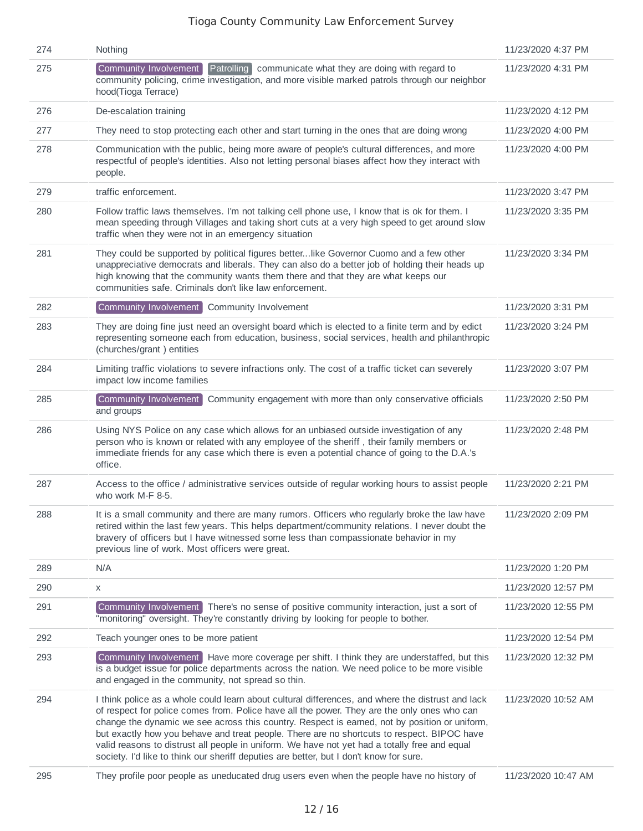| 274 | Nothing                                                                                                                                                                                                                                                                                                                                                                                                                                                                                                                                                                                    | 11/23/2020 4:37 PM  |
|-----|--------------------------------------------------------------------------------------------------------------------------------------------------------------------------------------------------------------------------------------------------------------------------------------------------------------------------------------------------------------------------------------------------------------------------------------------------------------------------------------------------------------------------------------------------------------------------------------------|---------------------|
| 275 | Patrolling communicate what they are doing with regard to<br>Community Involvement<br>community policing, crime investigation, and more visible marked patrols through our neighbor<br>hood(Tioga Terrace)                                                                                                                                                                                                                                                                                                                                                                                 | 11/23/2020 4:31 PM  |
| 276 | De-escalation training                                                                                                                                                                                                                                                                                                                                                                                                                                                                                                                                                                     | 11/23/2020 4:12 PM  |
| 277 | They need to stop protecting each other and start turning in the ones that are doing wrong                                                                                                                                                                                                                                                                                                                                                                                                                                                                                                 | 11/23/2020 4:00 PM  |
| 278 | Communication with the public, being more aware of people's cultural differences, and more<br>respectful of people's identities. Also not letting personal biases affect how they interact with<br>people.                                                                                                                                                                                                                                                                                                                                                                                 | 11/23/2020 4:00 PM  |
| 279 | traffic enforcement.                                                                                                                                                                                                                                                                                                                                                                                                                                                                                                                                                                       | 11/23/2020 3:47 PM  |
| 280 | Follow traffic laws themselves. I'm not talking cell phone use, I know that is ok for them. I<br>mean speeding through Villages and taking short cuts at a very high speed to get around slow<br>traffic when they were not in an emergency situation                                                                                                                                                                                                                                                                                                                                      | 11/23/2020 3:35 PM  |
| 281 | They could be supported by political figures betterlike Governor Cuomo and a few other<br>unappreciative democrats and liberals. They can also do a better job of holding their heads up<br>high knowing that the community wants them there and that they are what keeps our<br>communities safe. Criminals don't like law enforcement.                                                                                                                                                                                                                                                   | 11/23/2020 3:34 PM  |
| 282 | Community Involvement Community Involvement                                                                                                                                                                                                                                                                                                                                                                                                                                                                                                                                                | 11/23/2020 3:31 PM  |
| 283 | They are doing fine just need an oversight board which is elected to a finite term and by edict<br>representing someone each from education, business, social services, health and philanthropic<br>(churches/grant) entities                                                                                                                                                                                                                                                                                                                                                              | 11/23/2020 3:24 PM  |
| 284 | Limiting traffic violations to severe infractions only. The cost of a traffic ticket can severely<br>impact low income families                                                                                                                                                                                                                                                                                                                                                                                                                                                            | 11/23/2020 3:07 PM  |
| 285 | Community engagement with more than only conservative officials<br>Community Involvement<br>and groups                                                                                                                                                                                                                                                                                                                                                                                                                                                                                     | 11/23/2020 2:50 PM  |
| 286 | Using NYS Police on any case which allows for an unbiased outside investigation of any<br>person who is known or related with any employee of the sheriff, their family members or<br>immediate friends for any case which there is even a potential chance of going to the D.A.'s<br>office.                                                                                                                                                                                                                                                                                              | 11/23/2020 2:48 PM  |
| 287 | Access to the office / administrative services outside of regular working hours to assist people<br>who work M-F 8-5.                                                                                                                                                                                                                                                                                                                                                                                                                                                                      | 11/23/2020 2:21 PM  |
| 288 | It is a small community and there are many rumors. Officers who regularly broke the law have<br>retired within the last few years. This helps department/community relations. I never doubt the<br>bravery of officers but I have witnessed some less than compassionate behavior in my<br>previous line of work. Most officers were great.                                                                                                                                                                                                                                                | 11/23/2020 2:09 PM  |
| 289 | N/A                                                                                                                                                                                                                                                                                                                                                                                                                                                                                                                                                                                        | 11/23/2020 1:20 PM  |
| 290 | X                                                                                                                                                                                                                                                                                                                                                                                                                                                                                                                                                                                          | 11/23/2020 12:57 PM |
| 291 | Community Involvement There's no sense of positive community interaction, just a sort of<br>"monitoring" oversight. They're constantly driving by looking for people to bother.                                                                                                                                                                                                                                                                                                                                                                                                            | 11/23/2020 12:55 PM |
| 292 | Teach younger ones to be more patient                                                                                                                                                                                                                                                                                                                                                                                                                                                                                                                                                      | 11/23/2020 12:54 PM |
| 293 | Community Involvement   Have more coverage per shift. I think they are understaffed, but this<br>is a budget issue for police departments across the nation. We need police to be more visible<br>and engaged in the community, not spread so thin.                                                                                                                                                                                                                                                                                                                                        | 11/23/2020 12:32 PM |
| 294 | I think police as a whole could learn about cultural differences, and where the distrust and lack<br>of respect for police comes from. Police have all the power. They are the only ones who can<br>change the dynamic we see across this country. Respect is earned, not by position or uniform,<br>but exactly how you behave and treat people. There are no shortcuts to respect. BIPOC have<br>valid reasons to distrust all people in uniform. We have not yet had a totally free and equal<br>society. I'd like to think our sheriff deputies are better, but I don't know for sure. | 11/23/2020 10:52 AM |
| 295 | They profile poor people as uneducated drug users even when the people have no history of                                                                                                                                                                                                                                                                                                                                                                                                                                                                                                  | 11/23/2020 10:47 AM |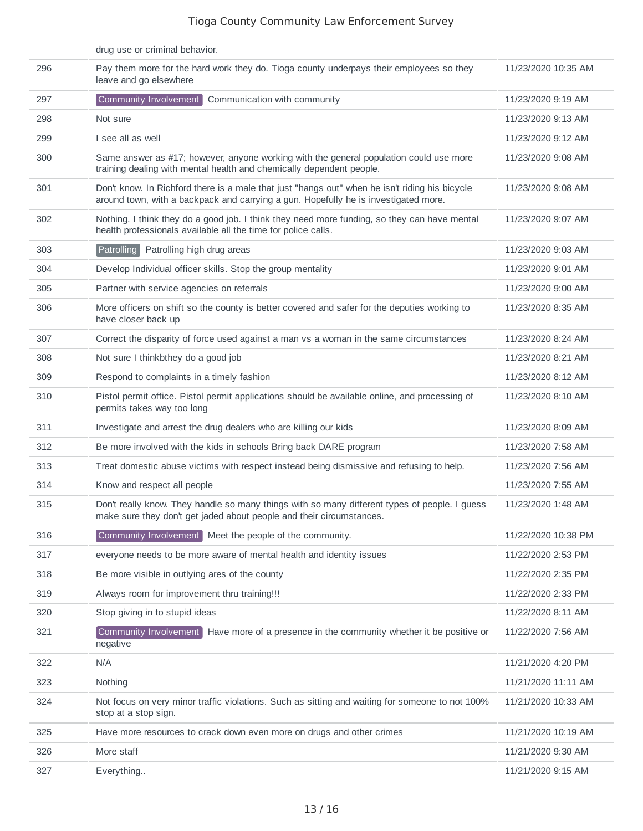|     | drug use or criminal behavior.                                                                                                                                                        |                     |
|-----|---------------------------------------------------------------------------------------------------------------------------------------------------------------------------------------|---------------------|
| 296 | Pay them more for the hard work they do. Tioga county underpays their employees so they<br>leave and go elsewhere                                                                     | 11/23/2020 10:35 AM |
| 297 | Community Involvement<br>Communication with community                                                                                                                                 | 11/23/2020 9:19 AM  |
| 298 | Not sure                                                                                                                                                                              | 11/23/2020 9:13 AM  |
| 299 | I see all as well                                                                                                                                                                     | 11/23/2020 9:12 AM  |
| 300 | Same answer as #17; however, anyone working with the general population could use more<br>training dealing with mental health and chemically dependent people.                        | 11/23/2020 9:08 AM  |
| 301 | Don't know. In Richford there is a male that just "hangs out" when he isn't riding his bicycle<br>around town, with a backpack and carrying a gun. Hopefully he is investigated more. | 11/23/2020 9:08 AM  |
| 302 | Nothing. I think they do a good job. I think they need more funding, so they can have mental<br>health professionals available all the time for police calls.                         | 11/23/2020 9:07 AM  |
| 303 | Patrolling Patrolling high drug areas                                                                                                                                                 | 11/23/2020 9:03 AM  |
| 304 | Develop Individual officer skills. Stop the group mentality                                                                                                                           | 11/23/2020 9:01 AM  |
| 305 | Partner with service agencies on referrals                                                                                                                                            | 11/23/2020 9:00 AM  |
| 306 | More officers on shift so the county is better covered and safer for the deputies working to<br>have closer back up                                                                   | 11/23/2020 8:35 AM  |
| 307 | Correct the disparity of force used against a man vs a woman in the same circumstances                                                                                                | 11/23/2020 8:24 AM  |
| 308 | Not sure I thinkbthey do a good job                                                                                                                                                   | 11/23/2020 8:21 AM  |
| 309 | Respond to complaints in a timely fashion                                                                                                                                             | 11/23/2020 8:12 AM  |
| 310 | Pistol permit office. Pistol permit applications should be available online, and processing of<br>permits takes way too long                                                          | 11/23/2020 8:10 AM  |
| 311 | Investigate and arrest the drug dealers who are killing our kids                                                                                                                      | 11/23/2020 8:09 AM  |
| 312 | Be more involved with the kids in schools Bring back DARE program                                                                                                                     | 11/23/2020 7:58 AM  |
| 313 | Treat domestic abuse victims with respect instead being dismissive and refusing to help.                                                                                              | 11/23/2020 7:56 AM  |
| 314 | Know and respect all people                                                                                                                                                           | 11/23/2020 7:55 AM  |
| 315 | Don't really know. They handle so many things with so many different types of people. I guess<br>make sure they don't get jaded about people and their circumstances.                 | 11/23/2020 1:48 AM  |
| 316 | Community Involvement Meet the people of the community.                                                                                                                               | 11/22/2020 10:38 PM |
| 317 | everyone needs to be more aware of mental health and identity issues                                                                                                                  | 11/22/2020 2:53 PM  |
| 318 | Be more visible in outlying ares of the county                                                                                                                                        | 11/22/2020 2:35 PM  |
| 319 | Always room for improvement thru training!!!                                                                                                                                          | 11/22/2020 2:33 PM  |
| 320 | Stop giving in to stupid ideas                                                                                                                                                        | 11/22/2020 8:11 AM  |
| 321 | Community Involvement<br>Have more of a presence in the community whether it be positive or<br>negative                                                                               | 11/22/2020 7:56 AM  |
| 322 | N/A                                                                                                                                                                                   | 11/21/2020 4:20 PM  |
| 323 | Nothing                                                                                                                                                                               | 11/21/2020 11:11 AM |
| 324 | Not focus on very minor traffic violations. Such as sitting and waiting for someone to not 100%<br>stop at a stop sign.                                                               | 11/21/2020 10:33 AM |
| 325 | Have more resources to crack down even more on drugs and other crimes                                                                                                                 | 11/21/2020 10:19 AM |
| 326 | More staff                                                                                                                                                                            | 11/21/2020 9:30 AM  |
| 327 | Everything                                                                                                                                                                            | 11/21/2020 9:15 AM  |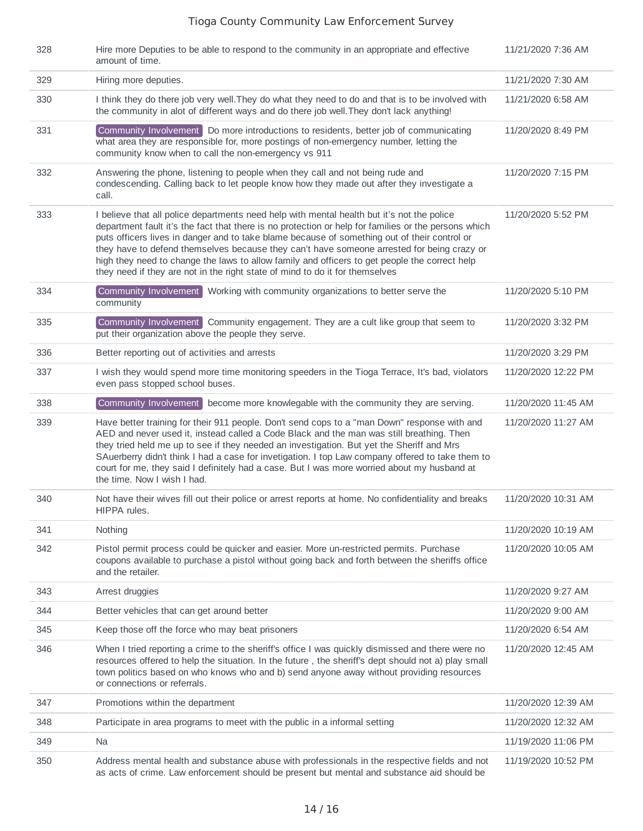| 328 | Hire more Deputies to be able to respond to the community in an appropriate and effective<br>amount of time.                                                                                                                                                                                                                                                                                                                                                                                                                                                                      | 11/21/2020 7:36 AM  |
|-----|-----------------------------------------------------------------------------------------------------------------------------------------------------------------------------------------------------------------------------------------------------------------------------------------------------------------------------------------------------------------------------------------------------------------------------------------------------------------------------------------------------------------------------------------------------------------------------------|---------------------|
| 329 | Hiring more deputies.                                                                                                                                                                                                                                                                                                                                                                                                                                                                                                                                                             | 11/21/2020 7:30 AM  |
| 330 | I think they do there job very well. They do what they need to do and that is to be involved with<br>the community in alot of different ways and do there job well. They don't lack anything!                                                                                                                                                                                                                                                                                                                                                                                     | 11/21/2020 6:58 AM  |
| 331 | Community Involvement Do more introductions to residents, better job of communicating<br>what area they are responsible for, more postings of non-emergency number, letting the<br>community know when to call the non-emergency vs 911                                                                                                                                                                                                                                                                                                                                           | 11/20/2020 8:49 PM  |
| 332 | Answering the phone, listening to people when they call and not being rude and<br>condescending. Calling back to let people know how they made out after they investigate a<br>call.                                                                                                                                                                                                                                                                                                                                                                                              | 11/20/2020 7:15 PM  |
| 333 | I believe that all police departments need help with mental health but it's not the police<br>department fault it's the fact that there is no protection or help for families or the persons which<br>puts officers lives in danger and to take blame because of something out of their control or<br>they have to defend themselves because they can't have someone arrested for being crazy or<br>high they need to change the laws to allow family and officers to get people the correct help<br>they need if they are not in the right state of mind to do it for themselves | 11/20/2020 5:52 PM  |
| 334 | Community Involvement Working with community organizations to better serve the<br>community                                                                                                                                                                                                                                                                                                                                                                                                                                                                                       | 11/20/2020 5:10 PM  |
| 335 | Community Involvement Community engagement. They are a cult like group that seem to<br>put their organization above the people they serve.                                                                                                                                                                                                                                                                                                                                                                                                                                        | 11/20/2020 3:32 PM  |
| 336 | Better reporting out of activities and arrests                                                                                                                                                                                                                                                                                                                                                                                                                                                                                                                                    | 11/20/2020 3:29 PM  |
| 337 | I wish they would spend more time monitoring speeders in the Tioga Terrace, It's bad, violators<br>even pass stopped school buses.                                                                                                                                                                                                                                                                                                                                                                                                                                                | 11/20/2020 12:22 PM |
| 338 | Community Involvement become more knowlegable with the community they are serving.                                                                                                                                                                                                                                                                                                                                                                                                                                                                                                | 11/20/2020 11:45 AM |
| 339 | Have better training for their 911 people. Don't send cops to a "man Down" response with and<br>AED and never used it, instead called a Code Black and the man was still breathing. Then<br>they tried held me up to see if they needed an investigation. But yet the Sheriff and Mrs<br>SAuerberry didn't think I had a case for invetigation. I top Law company offered to take them to<br>court for me, they said I definitely had a case. But I was more worried about my husband at<br>the time. Now I wish I had.                                                           | 11/20/2020 11:27 AM |
| 340 | Not have their wives fill out their police or arrest reports at home. No confidentiality and breaks<br>HIPPA rules.                                                                                                                                                                                                                                                                                                                                                                                                                                                               | 11/20/2020 10:31 AM |
| 341 | Nothing                                                                                                                                                                                                                                                                                                                                                                                                                                                                                                                                                                           | 11/20/2020 10:19 AM |
| 342 | Pistol permit process could be quicker and easier. More un-restricted permits. Purchase<br>coupons available to purchase a pistol without going back and forth between the sheriffs office<br>and the retailer.                                                                                                                                                                                                                                                                                                                                                                   | 11/20/2020 10:05 AM |
| 343 | Arrest druggies                                                                                                                                                                                                                                                                                                                                                                                                                                                                                                                                                                   | 11/20/2020 9:27 AM  |
| 344 | Better vehicles that can get around better                                                                                                                                                                                                                                                                                                                                                                                                                                                                                                                                        | 11/20/2020 9:00 AM  |
| 345 | Keep those off the force who may beat prisoners                                                                                                                                                                                                                                                                                                                                                                                                                                                                                                                                   | 11/20/2020 6:54 AM  |
| 346 | When I tried reporting a crime to the sheriff's office I was quickly dismissed and there were no<br>resources offered to help the situation. In the future, the sheriff's dept should not a) play small<br>town politics based on who knows who and b) send anyone away without providing resources<br>or connections or referrals.                                                                                                                                                                                                                                               | 11/20/2020 12:45 AM |
| 347 | Promotions within the department                                                                                                                                                                                                                                                                                                                                                                                                                                                                                                                                                  | 11/20/2020 12:39 AM |
| 348 | Participate in area programs to meet with the public in a informal setting                                                                                                                                                                                                                                                                                                                                                                                                                                                                                                        | 11/20/2020 12:32 AM |
| 349 | Na                                                                                                                                                                                                                                                                                                                                                                                                                                                                                                                                                                                | 11/19/2020 11:06 PM |
| 350 | Address mental health and substance abuse with professionals in the respective fields and not<br>as acts of crime. Law enforcement should be present but mental and substance aid should be                                                                                                                                                                                                                                                                                                                                                                                       | 11/19/2020 10:52 PM |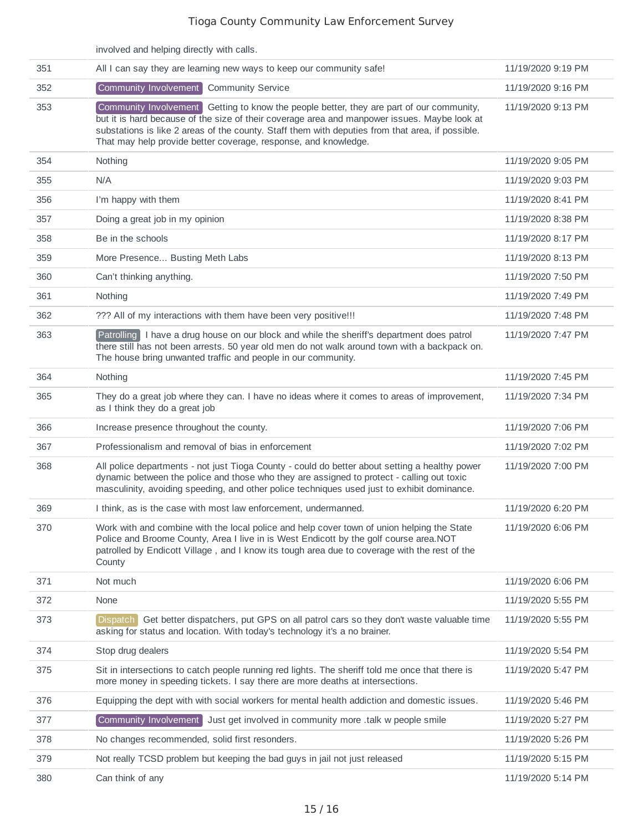|     | involved and helping directly with calls.                                                                                                                                                                                                                                                                                                                       |                    |
|-----|-----------------------------------------------------------------------------------------------------------------------------------------------------------------------------------------------------------------------------------------------------------------------------------------------------------------------------------------------------------------|--------------------|
| 351 | All I can say they are learning new ways to keep our community safe!                                                                                                                                                                                                                                                                                            | 11/19/2020 9:19 PM |
| 352 | Community Involvement<br><b>Community Service</b>                                                                                                                                                                                                                                                                                                               | 11/19/2020 9:16 PM |
| 353 | Community Involvement Getting to know the people better, they are part of our community,<br>but it is hard because of the size of their coverage area and manpower issues. Maybe look at<br>substations is like 2 areas of the county. Staff them with deputies from that area, if possible.<br>That may help provide better coverage, response, and knowledge. | 11/19/2020 9:13 PM |
| 354 | Nothing                                                                                                                                                                                                                                                                                                                                                         | 11/19/2020 9:05 PM |
| 355 | N/A                                                                                                                                                                                                                                                                                                                                                             | 11/19/2020 9:03 PM |
| 356 | I'm happy with them                                                                                                                                                                                                                                                                                                                                             | 11/19/2020 8:41 PM |
| 357 | Doing a great job in my opinion                                                                                                                                                                                                                                                                                                                                 | 11/19/2020 8:38 PM |
| 358 | Be in the schools                                                                                                                                                                                                                                                                                                                                               | 11/19/2020 8:17 PM |
| 359 | More Presence Busting Meth Labs                                                                                                                                                                                                                                                                                                                                 | 11/19/2020 8:13 PM |
| 360 | Can't thinking anything.                                                                                                                                                                                                                                                                                                                                        | 11/19/2020 7:50 PM |
| 361 | Nothing                                                                                                                                                                                                                                                                                                                                                         | 11/19/2020 7:49 PM |
| 362 | ??? All of my interactions with them have been very positive!!!                                                                                                                                                                                                                                                                                                 | 11/19/2020 7:48 PM |
| 363 | Patrolling I have a drug house on our block and while the sheriff's department does patrol<br>there still has not been arrests. 50 year old men do not walk around town with a backpack on.<br>The house bring unwanted traffic and people in our community.                                                                                                    | 11/19/2020 7:47 PM |
| 364 | Nothing                                                                                                                                                                                                                                                                                                                                                         | 11/19/2020 7:45 PM |
| 365 | They do a great job where they can. I have no ideas where it comes to areas of improvement,<br>as I think they do a great job                                                                                                                                                                                                                                   | 11/19/2020 7:34 PM |
| 366 | Increase presence throughout the county.                                                                                                                                                                                                                                                                                                                        | 11/19/2020 7:06 PM |
| 367 | Professionalism and removal of bias in enforcement                                                                                                                                                                                                                                                                                                              | 11/19/2020 7:02 PM |
| 368 | All police departments - not just Tioga County - could do better about setting a healthy power<br>dynamic between the police and those who they are assigned to protect - calling out toxic<br>masculinity, avoiding speeding, and other police techniques used just to exhibit dominance.                                                                      | 11/19/2020 7:00 PM |
| 369 | I think, as is the case with most law enforcement, undermanned.                                                                                                                                                                                                                                                                                                 | 11/19/2020 6:20 PM |
| 370 | Work with and combine with the local police and help cover town of union helping the State<br>Police and Broome County, Area I live in is West Endicott by the golf course area. NOT<br>patrolled by Endicott Village, and I know its tough area due to coverage with the rest of the<br>County                                                                 | 11/19/2020 6:06 PM |
| 371 | Not much                                                                                                                                                                                                                                                                                                                                                        | 11/19/2020 6:06 PM |
| 372 | None                                                                                                                                                                                                                                                                                                                                                            | 11/19/2020 5:55 PM |
| 373 | Get better dispatchers, put GPS on all patrol cars so they don't waste valuable time<br>Dispatch  <br>asking for status and location. With today's technology it's a no brainer.                                                                                                                                                                                | 11/19/2020 5:55 PM |
| 374 | Stop drug dealers                                                                                                                                                                                                                                                                                                                                               | 11/19/2020 5:54 PM |
| 375 | Sit in intersections to catch people running red lights. The sheriff told me once that there is<br>more money in speeding tickets. I say there are more deaths at intersections.                                                                                                                                                                                | 11/19/2020 5:47 PM |
| 376 | Equipping the dept with with social workers for mental health addiction and domestic issues.                                                                                                                                                                                                                                                                    | 11/19/2020 5:46 PM |
| 377 | Community Involvement Just get involved in community more .talk w people smile                                                                                                                                                                                                                                                                                  | 11/19/2020 5:27 PM |
| 378 | No changes recommended, solid first resonders.                                                                                                                                                                                                                                                                                                                  | 11/19/2020 5:26 PM |
| 379 | Not really TCSD problem but keeping the bad guys in jail not just released                                                                                                                                                                                                                                                                                      | 11/19/2020 5:15 PM |
| 380 | Can think of any                                                                                                                                                                                                                                                                                                                                                | 11/19/2020 5:14 PM |